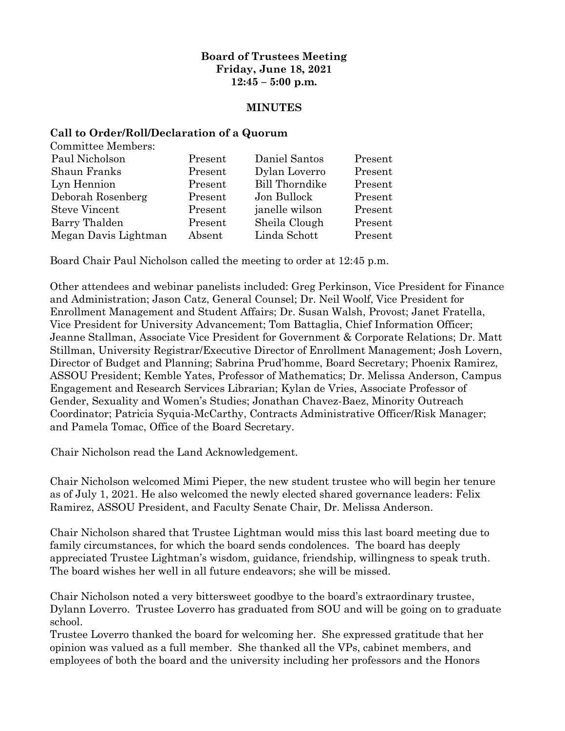## **Board of Trustees Meeting Friday, June 18, 2021 12:45 – 5:00 p.m.**

#### **MINUTES**

#### **Call to Order/Roll/Declaration of a Quorum**

| <b>Committee Members:</b> |         |                       |         |
|---------------------------|---------|-----------------------|---------|
| Paul Nicholson            | Present | Daniel Santos         | Present |
| Shaun Franks              | Present | Dylan Loverro         | Present |
| Lyn Hennion               | Present | <b>Bill Thorndike</b> | Present |
| Deborah Rosenberg         | Present | Jon Bullock           | Present |
| <b>Steve Vincent</b>      | Present | janelle wilson        | Present |
| Barry Thalden             | Present | Sheila Clough         | Present |
| Megan Davis Lightman      | Absent  | Linda Schott          | Present |
|                           |         |                       |         |

Board Chair Paul Nicholson called the meeting to order at 12:45 p.m.

Other attendees and webinar panelists included: Greg Perkinson, Vice President for Finance and Administration; Jason Catz, General Counsel; Dr. Neil Woolf, Vice President for Enrollment Management and Student Affairs; Dr. Susan Walsh, Provost; Janet Fratella, Vice President for University Advancement; Tom Battaglia, Chief Information Officer; Jeanne Stallman, Associate Vice President for Government & Corporate Relations; Dr. Matt Stillman, University Registrar/Executive Director of Enrollment Management; Josh Lovern, Director of Budget and Planning; Sabrina Prud'homme, Board Secretary; Phoenix Ramirez, ASSOU President; Kemble Yates, Professor of Mathematics; Dr. Melissa Anderson, Campus Engagement and Research Services Librarian; Kylan de Vries, Associate Professor of Gender, Sexuality and Women's Studies; Jonathan Chavez-Baez, Minority Outreach Coordinator; Patricia Syquia-McCarthy, Contracts Administrative Officer/Risk Manager; and Pamela Tomac, Office of the Board Secretary.

Chair Nicholson read the Land Acknowledgement.

Chair Nicholson welcomed Mimi Pieper, the new student trustee who will begin her tenure as of July 1, 2021. He also welcomed the newly elected shared governance leaders: Felix Ramirez, ASSOU President, and Faculty Senate Chair, Dr. Melissa Anderson.

Chair Nicholson shared that Trustee Lightman would miss this last board meeting due to family circumstances, for which the board sends condolences. The board has deeply appreciated Trustee Lightman's wisdom, guidance, friendship, willingness to speak truth. The board wishes her well in all future endeavors; she will be missed.

Chair Nicholson noted a very bittersweet goodbye to the board's extraordinary trustee, Dylann Loverro. Trustee Loverro has graduated from SOU and will be going on to graduate school.

Trustee Loverro thanked the board for welcoming her. She expressed gratitude that her opinion was valued as a full member. She thanked all the VPs, cabinet members, and employees of both the board and the university including her professors and the Honors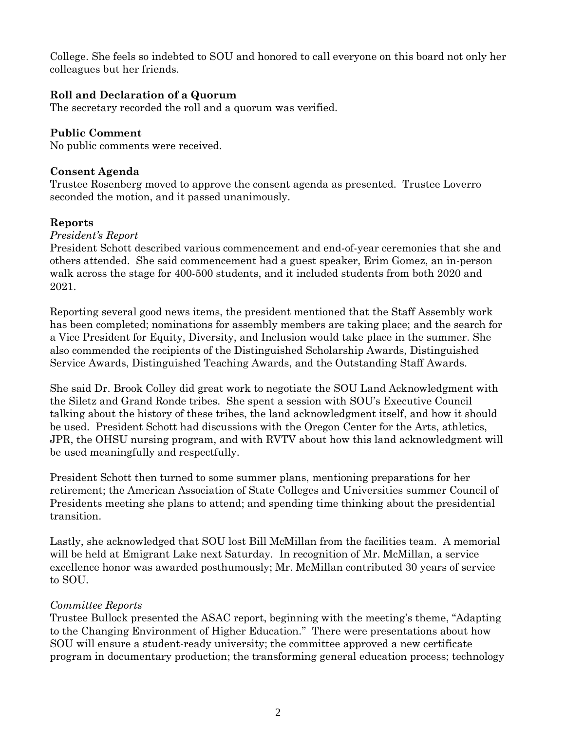College. She feels so indebted to SOU and honored to call everyone on this board not only her colleagues but her friends.

# **Roll and Declaration of a Quorum**

The secretary recorded the roll and a quorum was verified.

### **Public Comment**

No public comments were received.

### **Consent Agenda**

Trustee Rosenberg moved to approve the consent agenda as presented. Trustee Loverro seconded the motion, and it passed unanimously.

## **Reports**

### *President's Report*

President Schott described various commencement and end-of-year ceremonies that she and others attended. She said commencement had a guest speaker, Erim Gomez, an in-person walk across the stage for 400-500 students, and it included students from both 2020 and 2021.

Reporting several good news items, the president mentioned that the Staff Assembly work has been completed; nominations for assembly members are taking place; and the search for a Vice President for Equity, Diversity, and Inclusion would take place in the summer. She also commended the recipients of the Distinguished Scholarship Awards, Distinguished Service Awards, Distinguished Teaching Awards, and the Outstanding Staff Awards.

She said Dr. Brook Colley did great work to negotiate the SOU Land Acknowledgment with the Siletz and Grand Ronde tribes. She spent a session with SOU's Executive Council talking about the history of these tribes, the land acknowledgment itself, and how it should be used. President Schott had discussions with the Oregon Center for the Arts, athletics, JPR, the OHSU nursing program, and with RVTV about how this land acknowledgment will be used meaningfully and respectfully.

President Schott then turned to some summer plans, mentioning preparations for her retirement; the American Association of State Colleges and Universities summer Council of Presidents meeting she plans to attend; and spending time thinking about the presidential transition.

Lastly, she acknowledged that SOU lost Bill McMillan from the facilities team. A memorial will be held at Emigrant Lake next Saturday. In recognition of Mr. McMillan, a service excellence honor was awarded posthumously; Mr. McMillan contributed 30 years of service to SOU.

## *Committee Reports*

Trustee Bullock presented the ASAC report, beginning with the meeting's theme, "Adapting to the Changing Environment of Higher Education." There were presentations about how SOU will ensure a student-ready university; the committee approved a new certificate program in documentary production; the transforming general education process; technology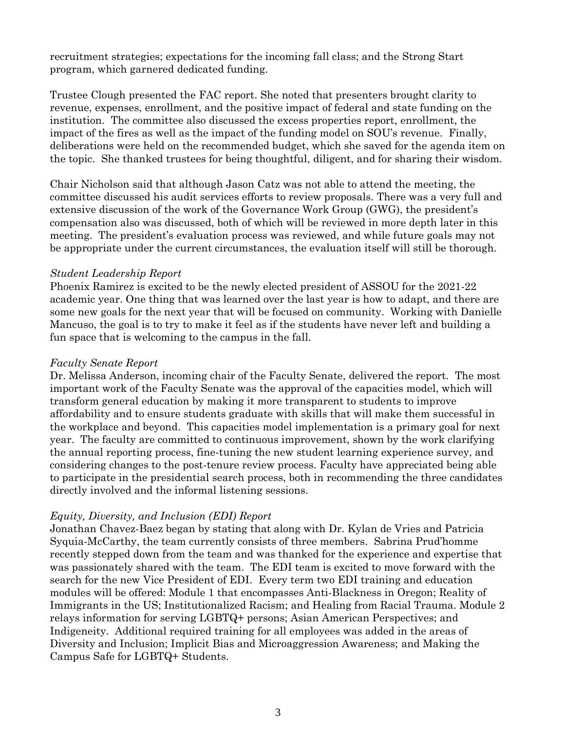recruitment strategies; expectations for the incoming fall class; and the Strong Start program, which garnered dedicated funding.

Trustee Clough presented the FAC report. She noted that presenters brought clarity to revenue, expenses, enrollment, and the positive impact of federal and state funding on the institution. The committee also discussed the excess properties report, enrollment, the impact of the fires as well as the impact of the funding model on SOU's revenue. Finally, deliberations were held on the recommended budget, which she saved for the agenda item on the topic. She thanked trustees for being thoughtful, diligent, and for sharing their wisdom.

Chair Nicholson said that although Jason Catz was not able to attend the meeting, the committee discussed his audit services efforts to review proposals. There was a very full and extensive discussion of the work of the Governance Work Group (GWG), the president's compensation also was discussed, both of which will be reviewed in more depth later in this meeting. The president's evaluation process was reviewed, and while future goals may not be appropriate under the current circumstances, the evaluation itself will still be thorough.

### *Student Leadership Report*

Phoenix Ramirez is excited to be the newly elected president of ASSOU for the 2021-22 academic year. One thing that was learned over the last year is how to adapt, and there are some new goals for the next year that will be focused on community. Working with Danielle Mancuso, the goal is to try to make it feel as if the students have never left and building a fun space that is welcoming to the campus in the fall.

### *Faculty Senate Report*

Dr. Melissa Anderson, incoming chair of the Faculty Senate, delivered the report. The most important work of the Faculty Senate was the approval of the capacities model, which will transform general education by making it more transparent to students to improve affordability and to ensure students graduate with skills that will make them successful in the workplace and beyond. This capacities model implementation is a primary goal for next year. The faculty are committed to continuous improvement, shown by the work clarifying the annual reporting process, fine-tuning the new student learning experience survey, and considering changes to the post-tenure review process. Faculty have appreciated being able to participate in the presidential search process, both in recommending the three candidates directly involved and the informal listening sessions.

## *Equity, Diversity, and Inclusion (EDI) Report*

Jonathan Chavez-Baez began by stating that along with Dr. Kylan de Vries and Patricia Syquia-McCarthy, the team currently consists of three members. Sabrina Prud'homme recently stepped down from the team and was thanked for the experience and expertise that was passionately shared with the team. The EDI team is excited to move forward with the search for the new Vice President of EDI. Every term two EDI training and education modules will be offered: Module 1 that encompasses Anti-Blackness in Oregon; Reality of Immigrants in the US; Institutionalized Racism; and Healing from Racial Trauma. Module 2 relays information for serving LGBTQ+ persons; Asian American Perspectives; and Indigeneity. Additional required training for all employees was added in the areas of Diversity and Inclusion; Implicit Bias and Microaggression Awareness; and Making the Campus Safe for LGBTQ+ Students.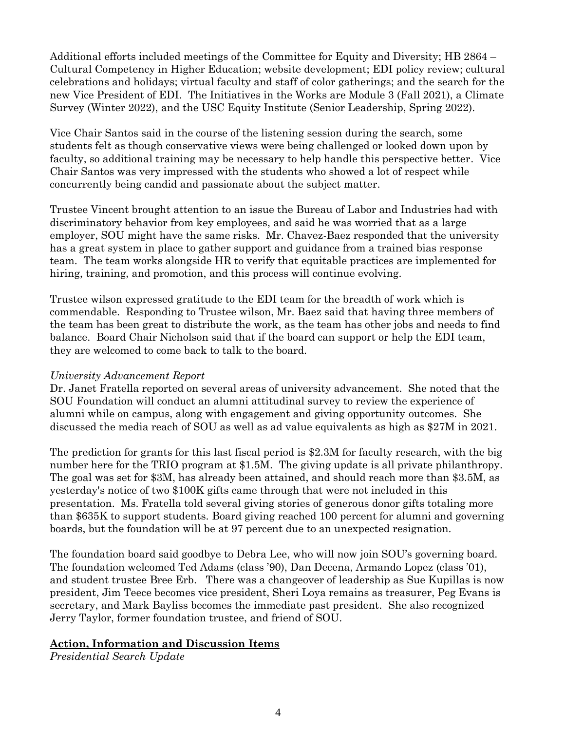Additional efforts included meetings of the Committee for Equity and Diversity; HB 2864 – Cultural Competency in Higher Education; website development; EDI policy review; cultural celebrations and holidays; virtual faculty and staff of color gatherings; and the search for the new Vice President of EDI. The Initiatives in the Works are Module 3 (Fall 2021), a Climate Survey (Winter 2022), and the USC Equity Institute (Senior Leadership, Spring 2022).

Vice Chair Santos said in the course of the listening session during the search, some students felt as though conservative views were being challenged or looked down upon by faculty, so additional training may be necessary to help handle this perspective better. Vice Chair Santos was very impressed with the students who showed a lot of respect while concurrently being candid and passionate about the subject matter.

Trustee Vincent brought attention to an issue the Bureau of Labor and Industries had with discriminatory behavior from key employees, and said he was worried that as a large employer, SOU might have the same risks. Mr. Chavez-Baez responded that the university has a great system in place to gather support and guidance from a trained bias response team. The team works alongside HR to verify that equitable practices are implemented for hiring, training, and promotion, and this process will continue evolving.

Trustee wilson expressed gratitude to the EDI team for the breadth of work which is commendable. Responding to Trustee wilson, Mr. Baez said that having three members of the team has been great to distribute the work, as the team has other jobs and needs to find balance. Board Chair Nicholson said that if the board can support or help the EDI team, they are welcomed to come back to talk to the board.

## *University Advancement Report*

Dr. Janet Fratella reported on several areas of university advancement. She noted that the SOU Foundation will conduct an alumni attitudinal survey to review the experience of alumni while on campus, along with engagement and giving opportunity outcomes. She discussed the media reach of SOU as well as ad value equivalents as high as \$27M in 2021.

The prediction for grants for this last fiscal period is \$2.3M for faculty research, with the big number here for the TRIO program at \$1.5M. The giving update is all private philanthropy. The goal was set for \$3M, has already been attained, and should reach more than \$3.5M, as yesterday's notice of two \$100K gifts came through that were not included in this presentation. Ms. Fratella told several giving stories of generous donor gifts totaling more than \$635K to support students. Board giving reached 100 percent for alumni and governing boards, but the foundation will be at 97 percent due to an unexpected resignation.

The foundation board said goodbye to Debra Lee, who will now join SOU's governing board. The foundation welcomed Ted Adams (class '90), Dan Decena, Armando Lopez (class '01), and student trustee Bree Erb. There was a changeover of leadership as Sue Kupillas is now president, Jim Teece becomes vice president, Sheri Loya remains as treasurer, Peg Evans is secretary, and Mark Bayliss becomes the immediate past president. She also recognized Jerry Taylor, former foundation trustee, and friend of SOU.

### **Action, Information and Discussion Items**

*Presidential Search Update*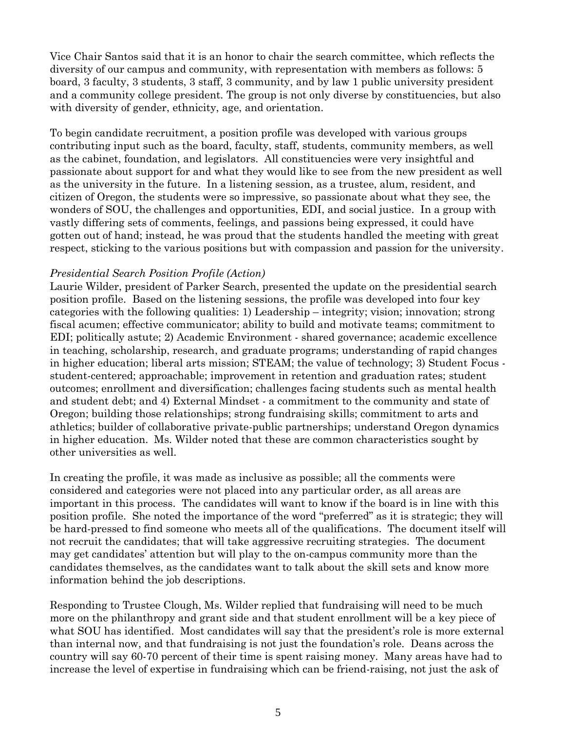Vice Chair Santos said that it is an honor to chair the search committee, which reflects the diversity of our campus and community, with representation with members as follows: 5 board, 3 faculty, 3 students, 3 staff, 3 community, and by law 1 public university president and a community college president. The group is not only diverse by constituencies, but also with diversity of gender, ethnicity, age, and orientation.

To begin candidate recruitment, a position profile was developed with various groups contributing input such as the board, faculty, staff, students, community members, as well as the cabinet, foundation, and legislators. All constituencies were very insightful and passionate about support for and what they would like to see from the new president as well as the university in the future. In a listening session, as a trustee, alum, resident, and citizen of Oregon, the students were so impressive, so passionate about what they see, the wonders of SOU, the challenges and opportunities, EDI, and social justice. In a group with vastly differing sets of comments, feelings, and passions being expressed, it could have gotten out of hand; instead, he was proud that the students handled the meeting with great respect, sticking to the various positions but with compassion and passion for the university.

### *Presidential Search Position Profile (Action)*

Laurie Wilder, president of Parker Search, presented the update on the presidential search position profile. Based on the listening sessions, the profile was developed into four key categories with the following qualities: 1) Leadership – integrity; vision; innovation; strong fiscal acumen; effective communicator; ability to build and motivate teams; commitment to EDI; politically astute; 2) Academic Environment - shared governance; academic excellence in teaching, scholarship, research, and graduate programs; understanding of rapid changes in higher education; liberal arts mission; STEAM; the value of technology; 3) Student Focus student-centered; approachable; improvement in retention and graduation rates; student outcomes; enrollment and diversification; challenges facing students such as mental health and student debt; and 4) External Mindset - a commitment to the community and state of Oregon; building those relationships; strong fundraising skills; commitment to arts and athletics; builder of collaborative private-public partnerships; understand Oregon dynamics in higher education. Ms. Wilder noted that these are common characteristics sought by other universities as well.

In creating the profile, it was made as inclusive as possible; all the comments were considered and categories were not placed into any particular order, as all areas are important in this process. The candidates will want to know if the board is in line with this position profile. She noted the importance of the word "preferred" as it is strategic; they will be hard-pressed to find someone who meets all of the qualifications. The document itself will not recruit the candidates; that will take aggressive recruiting strategies. The document may get candidates' attention but will play to the on-campus community more than the candidates themselves, as the candidates want to talk about the skill sets and know more information behind the job descriptions.

Responding to Trustee Clough, Ms. Wilder replied that fundraising will need to be much more on the philanthropy and grant side and that student enrollment will be a key piece of what SOU has identified. Most candidates will say that the president's role is more external than internal now, and that fundraising is not just the foundation's role. Deans across the country will say 60-70 percent of their time is spent raising money. Many areas have had to increase the level of expertise in fundraising which can be friend-raising, not just the ask of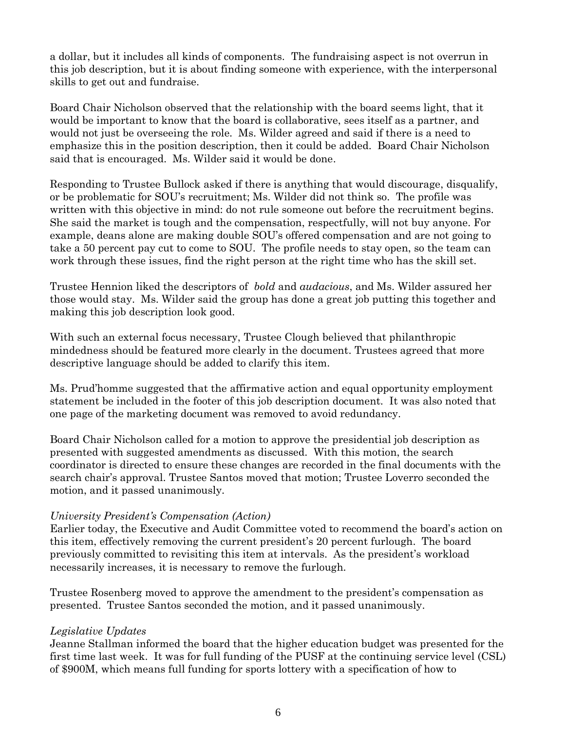a dollar, but it includes all kinds of components. The fundraising aspect is not overrun in this job description, but it is about finding someone with experience, with the interpersonal skills to get out and fundraise.

Board Chair Nicholson observed that the relationship with the board seems light, that it would be important to know that the board is collaborative, sees itself as a partner, and would not just be overseeing the role. Ms. Wilder agreed and said if there is a need to emphasize this in the position description, then it could be added. Board Chair Nicholson said that is encouraged. Ms. Wilder said it would be done.

Responding to Trustee Bullock asked if there is anything that would discourage, disqualify, or be problematic for SOU's recruitment; Ms. Wilder did not think so. The profile was written with this objective in mind: do not rule someone out before the recruitment begins. She said the market is tough and the compensation, respectfully, will not buy anyone. For example, deans alone are making double SOU's offered compensation and are not going to take a 50 percent pay cut to come to SOU. The profile needs to stay open, so the team can work through these issues, find the right person at the right time who has the skill set.

Trustee Hennion liked the descriptors of *bold* and *audacious*, and Ms. Wilder assured her those would stay. Ms. Wilder said the group has done a great job putting this together and making this job description look good.

With such an external focus necessary, Trustee Clough believed that philanthropic mindedness should be featured more clearly in the document. Trustees agreed that more descriptive language should be added to clarify this item.

Ms. Prud'homme suggested that the affirmative action and equal opportunity employment statement be included in the footer of this job description document. It was also noted that one page of the marketing document was removed to avoid redundancy.

Board Chair Nicholson called for a motion to approve the presidential job description as presented with suggested amendments as discussed. With this motion, the search coordinator is directed to ensure these changes are recorded in the final documents with the search chair's approval. Trustee Santos moved that motion; Trustee Loverro seconded the motion, and it passed unanimously.

### *University President's Compensation (Action)*

Earlier today, the Executive and Audit Committee voted to recommend the board's action on this item, effectively removing the current president's 20 percent furlough. The board previously committed to revisiting this item at intervals. As the president's workload necessarily increases, it is necessary to remove the furlough.

Trustee Rosenberg moved to approve the amendment to the president's compensation as presented. Trustee Santos seconded the motion, and it passed unanimously.

### *Legislative Updates*

Jeanne Stallman informed the board that the higher education budget was presented for the first time last week. It was for full funding of the PUSF at the continuing service level (CSL) of \$900M, which means full funding for sports lottery with a specification of how to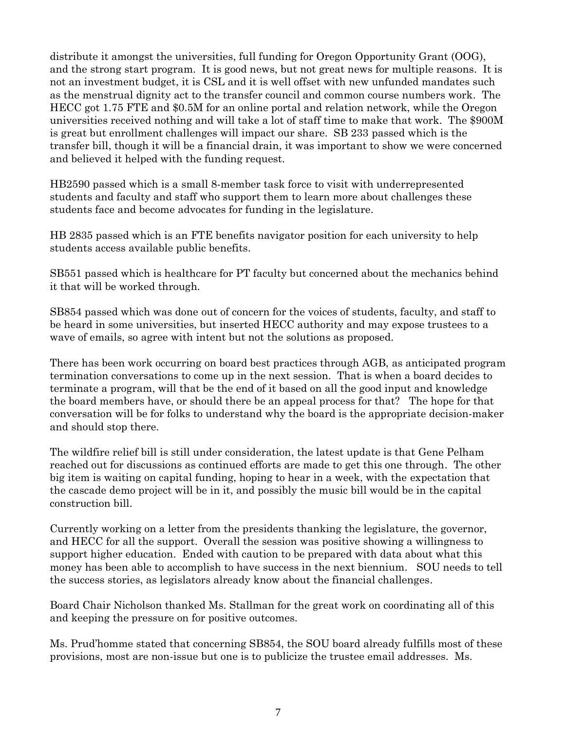distribute it amongst the universities, full funding for Oregon Opportunity Grant (OOG), and the strong start program. It is good news, but not great news for multiple reasons. It is not an investment budget, it is CSL and it is well offset with new unfunded mandates such as the menstrual dignity act to the transfer council and common course numbers work. The HECC got 1.75 FTE and \$0.5M for an online portal and relation network, while the Oregon universities received nothing and will take a lot of staff time to make that work. The \$900M is great but enrollment challenges will impact our share. SB 233 passed which is the transfer bill, though it will be a financial drain, it was important to show we were concerned and believed it helped with the funding request.

HB2590 passed which is a small 8-member task force to visit with underrepresented students and faculty and staff who support them to learn more about challenges these students face and become advocates for funding in the legislature.

HB 2835 passed which is an FTE benefits navigator position for each university to help students access available public benefits.

SB551 passed which is healthcare for PT faculty but concerned about the mechanics behind it that will be worked through.

SB854 passed which was done out of concern for the voices of students, faculty, and staff to be heard in some universities, but inserted HECC authority and may expose trustees to a wave of emails, so agree with intent but not the solutions as proposed.

There has been work occurring on board best practices through AGB, as anticipated program termination conversations to come up in the next session. That is when a board decides to terminate a program, will that be the end of it based on all the good input and knowledge the board members have, or should there be an appeal process for that? The hope for that conversation will be for folks to understand why the board is the appropriate decision-maker and should stop there.

The wildfire relief bill is still under consideration, the latest update is that Gene Pelham reached out for discussions as continued efforts are made to get this one through. The other big item is waiting on capital funding, hoping to hear in a week, with the expectation that the cascade demo project will be in it, and possibly the music bill would be in the capital construction bill.

Currently working on a letter from the presidents thanking the legislature, the governor, and HECC for all the support. Overall the session was positive showing a willingness to support higher education. Ended with caution to be prepared with data about what this money has been able to accomplish to have success in the next biennium. SOU needs to tell the success stories, as legislators already know about the financial challenges.

Board Chair Nicholson thanked Ms. Stallman for the great work on coordinating all of this and keeping the pressure on for positive outcomes.

Ms. Prud'homme stated that concerning SB854, the SOU board already fulfills most of these provisions, most are non-issue but one is to publicize the trustee email addresses. Ms.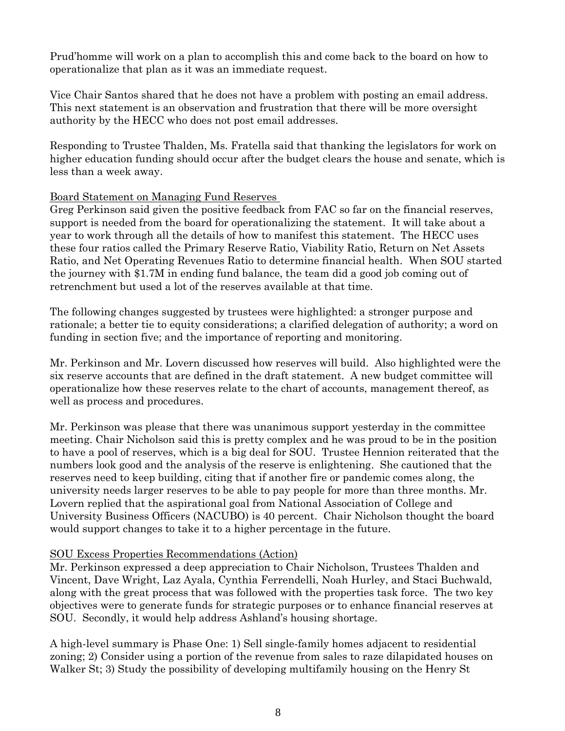Prud'homme will work on a plan to accomplish this and come back to the board on how to operationalize that plan as it was an immediate request.

Vice Chair Santos shared that he does not have a problem with posting an email address. This next statement is an observation and frustration that there will be more oversight authority by the HECC who does not post email addresses.

Responding to Trustee Thalden, Ms. Fratella said that thanking the legislators for work on higher education funding should occur after the budget clears the house and senate, which is less than a week away.

### Board Statement on Managing Fund Reserves

Greg Perkinson said given the positive feedback from FAC so far on the financial reserves, support is needed from the board for operationalizing the statement. It will take about a year to work through all the details of how to manifest this statement. The HECC uses these four ratios called the Primary Reserve Ratio, Viability Ratio, Return on Net Assets Ratio, and Net Operating Revenues Ratio to determine financial health. When SOU started the journey with \$1.7M in ending fund balance, the team did a good job coming out of retrenchment but used a lot of the reserves available at that time.

The following changes suggested by trustees were highlighted: a stronger purpose and rationale; a better tie to equity considerations; a clarified delegation of authority; a word on funding in section five; and the importance of reporting and monitoring.

Mr. Perkinson and Mr. Lovern discussed how reserves will build. Also highlighted were the six reserve accounts that are defined in the draft statement. A new budget committee will operationalize how these reserves relate to the chart of accounts, management thereof, as well as process and procedures.

Mr. Perkinson was please that there was unanimous support yesterday in the committee meeting. Chair Nicholson said this is pretty complex and he was proud to be in the position to have a pool of reserves, which is a big deal for SOU. Trustee Hennion reiterated that the numbers look good and the analysis of the reserve is enlightening. She cautioned that the reserves need to keep building, citing that if another fire or pandemic comes along, the university needs larger reserves to be able to pay people for more than three months. Mr. Lovern replied that the aspirational goal from National Association of College and University Business Officers (NACUBO) is 40 percent. Chair Nicholson thought the board would support changes to take it to a higher percentage in the future.

## SOU Excess Properties Recommendations (Action)

Mr. Perkinson expressed a deep appreciation to Chair Nicholson, Trustees Thalden and Vincent, Dave Wright, Laz Ayala, Cynthia Ferrendelli, Noah Hurley, and Staci Buchwald, along with the great process that was followed with the properties task force. The two key objectives were to generate funds for strategic purposes or to enhance financial reserves at SOU. Secondly, it would help address Ashland's housing shortage.

A high-level summary is Phase One: 1) Sell single-family homes adjacent to residential zoning; 2) Consider using a portion of the revenue from sales to raze dilapidated houses on Walker St; 3) Study the possibility of developing multifamily housing on the Henry St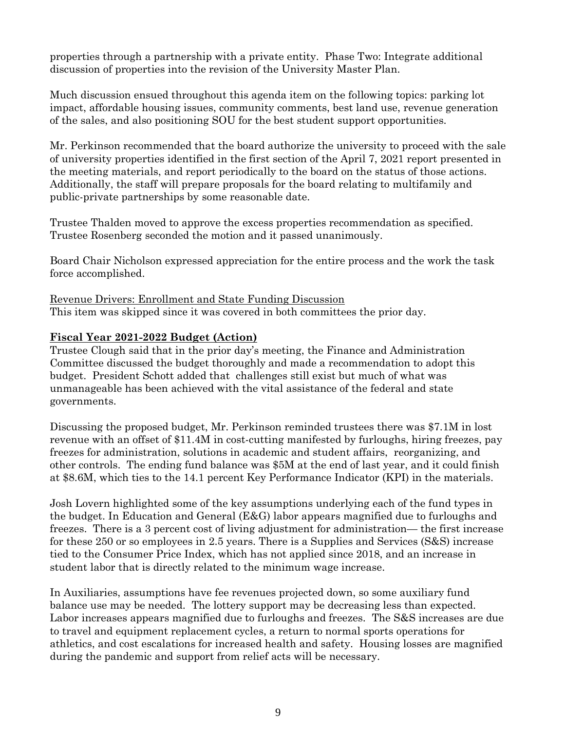properties through a partnership with a private entity. Phase Two: Integrate additional discussion of properties into the revision of the University Master Plan.

Much discussion ensued throughout this agenda item on the following topics: parking lot impact, affordable housing issues, community comments, best land use, revenue generation of the sales, and also positioning SOU for the best student support opportunities.

Mr. Perkinson recommended that the board authorize the university to proceed with the sale of university properties identified in the first section of the April 7, 2021 report presented in the meeting materials, and report periodically to the board on the status of those actions. Additionally, the staff will prepare proposals for the board relating to multifamily and public-private partnerships by some reasonable date.

Trustee Thalden moved to approve the excess properties recommendation as specified. Trustee Rosenberg seconded the motion and it passed unanimously.

Board Chair Nicholson expressed appreciation for the entire process and the work the task force accomplished.

Revenue Drivers: Enrollment and State Funding Discussion This item was skipped since it was covered in both committees the prior day.

# **Fiscal Year 2021-2022 Budget (Action)**

Trustee Clough said that in the prior day's meeting, the Finance and Administration Committee discussed the budget thoroughly and made a recommendation to adopt this budget. President Schott added that challenges still exist but much of what was unmanageable has been achieved with the vital assistance of the federal and state governments.

Discussing the proposed budget, Mr. Perkinson reminded trustees there was \$7.1M in lost revenue with an offset of \$11.4M in cost-cutting manifested by furloughs, hiring freezes, pay freezes for administration, solutions in academic and student affairs, reorganizing, and other controls. The ending fund balance was \$5M at the end of last year, and it could finish at \$8.6M, which ties to the 14.1 percent Key Performance Indicator (KPI) in the materials.

Josh Lovern highlighted some of the key assumptions underlying each of the fund types in the budget. In Education and General (E&G) labor appears magnified due to furloughs and freezes. There is a 3 percent cost of living adjustment for administration— the first increase for these 250 or so employees in 2.5 years. There is a Supplies and Services (S&S) increase tied to the Consumer Price Index, which has not applied since 2018, and an increase in student labor that is directly related to the minimum wage increase.

In Auxiliaries, assumptions have fee revenues projected down, so some auxiliary fund balance use may be needed. The lottery support may be decreasing less than expected. Labor increases appears magnified due to furloughs and freezes. The S&S increases are due to travel and equipment replacement cycles, a return to normal sports operations for athletics, and cost escalations for increased health and safety. Housing losses are magnified during the pandemic and support from relief acts will be necessary.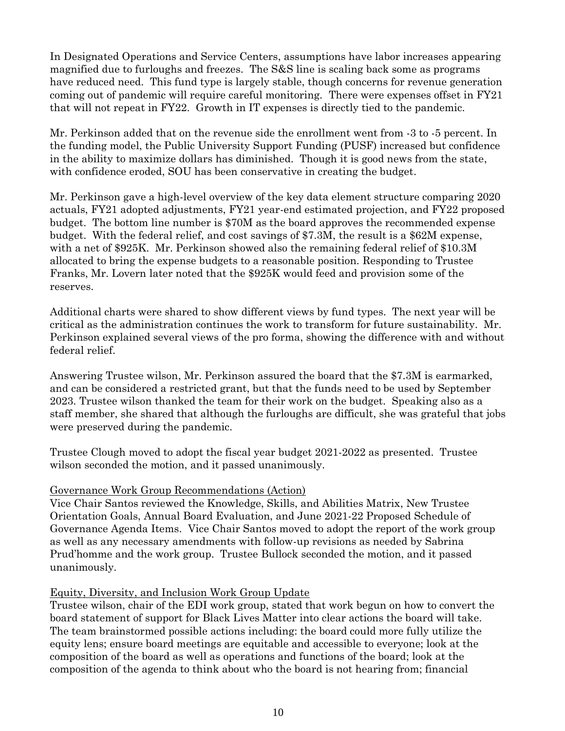In Designated Operations and Service Centers, assumptions have labor increases appearing magnified due to furloughs and freezes. The S&S line is scaling back some as programs have reduced need. This fund type is largely stable, though concerns for revenue generation coming out of pandemic will require careful monitoring. There were expenses offset in FY21 that will not repeat in FY22. Growth in IT expenses is directly tied to the pandemic.

Mr. Perkinson added that on the revenue side the enrollment went from -3 to -5 percent. In the funding model, the Public University Support Funding (PUSF) increased but confidence in the ability to maximize dollars has diminished. Though it is good news from the state, with confidence eroded, SOU has been conservative in creating the budget.

Mr. Perkinson gave a high-level overview of the key data element structure comparing 2020 actuals, FY21 adopted adjustments, FY21 year-end estimated projection, and FY22 proposed budget. The bottom line number is \$70M as the board approves the recommended expense budget. With the federal relief, and cost savings of \$7.3M, the result is a \$62M expense, with a net of \$925K. Mr. Perkinson showed also the remaining federal relief of \$10.3M allocated to bring the expense budgets to a reasonable position. Responding to Trustee Franks, Mr. Lovern later noted that the \$925K would feed and provision some of the reserves.

Additional charts were shared to show different views by fund types. The next year will be critical as the administration continues the work to transform for future sustainability. Mr. Perkinson explained several views of the pro forma, showing the difference with and without federal relief.

Answering Trustee wilson, Mr. Perkinson assured the board that the \$7.3M is earmarked, and can be considered a restricted grant, but that the funds need to be used by September 2023. Trustee wilson thanked the team for their work on the budget. Speaking also as a staff member, she shared that although the furloughs are difficult, she was grateful that jobs were preserved during the pandemic.

Trustee Clough moved to adopt the fiscal year budget 2021-2022 as presented. Trustee wilson seconded the motion, and it passed unanimously.

### Governance Work Group Recommendations (Action)

Vice Chair Santos reviewed the Knowledge, Skills, and Abilities Matrix, New Trustee Orientation Goals, Annual Board Evaluation, and June 2021-22 Proposed Schedule of Governance Agenda Items. Vice Chair Santos moved to adopt the report of the work group as well as any necessary amendments with follow-up revisions as needed by Sabrina Prud'homme and the work group. Trustee Bullock seconded the motion, and it passed unanimously.

### Equity, Diversity, and Inclusion Work Group Update

Trustee wilson, chair of the EDI work group, stated that work begun on how to convert the board statement of support for Black Lives Matter into clear actions the board will take. The team brainstormed possible actions including: the board could more fully utilize the equity lens; ensure board meetings are equitable and accessible to everyone; look at the composition of the board as well as operations and functions of the board; look at the composition of the agenda to think about who the board is not hearing from; financial